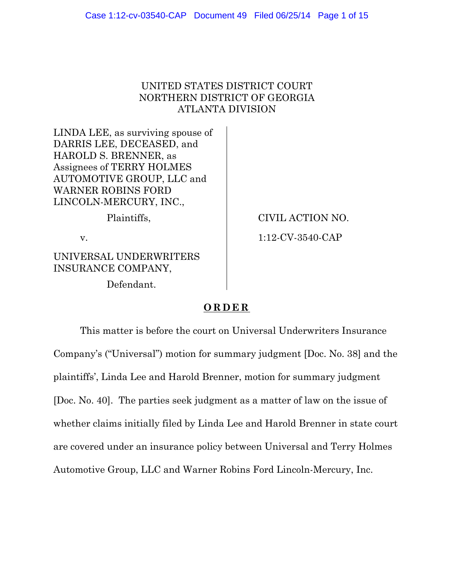# UNITED STATES DISTRICT COURT NORTHERN DISTRICT OF GEORGIA ATLANTA DIVISION

LINDA LEE, as surviving spouse of DARRIS LEE, DECEASED, and HAROLD S. BRENNER, as Assignees of TERRY HOLMES AUTOMOTIVE GROUP, LLC and WARNER ROBINS FORD LINCOLN-MERCURY, INC.,

UNIVERSAL UNDERWRITERS INSURANCE COMPANY,

Defendant.

Plaintiffs,  $\qquad \qquad \qquad$  CIVIL ACTION NO. v. 1:12-CV-3540-CAP

# **ORDER**

 This matter is before the court on Universal Underwriters Insurance Company's ("Universal") motion for summary judgment [Doc. No. 38] and the plaintiffs', Linda Lee and Harold Brenner, motion for summary judgment [Doc. No. 40]. The parties seek judgment as a matter of law on the issue of whether claims initially filed by Linda Lee and Harold Brenner in state court are covered under an insurance policy between Universal and Terry Holmes Automotive Group, LLC and Warner Robins Ford Lincoln-Mercury, Inc.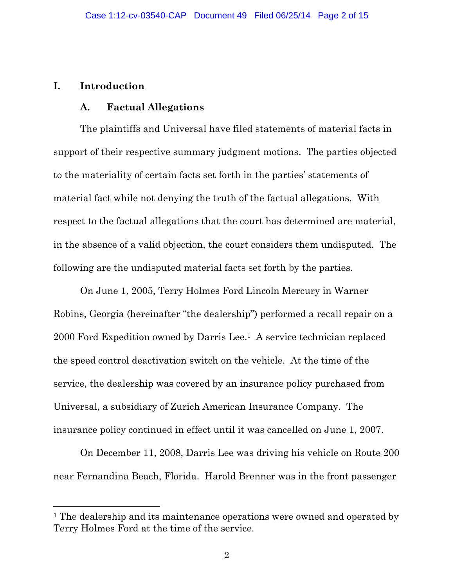### **I. Introduction**

 $\overline{a}$ 

#### **A. Factual Allegations**

 The plaintiffs and Universal have filed statements of material facts in support of their respective summary judgment motions. The parties objected to the materiality of certain facts set forth in the parties' statements of material fact while not denying the truth of the factual allegations. With respect to the factual allegations that the court has determined are material, in the absence of a valid objection, the court considers them undisputed. The following are the undisputed material facts set forth by the parties.

 On June 1, 2005, Terry Holmes Ford Lincoln Mercury in Warner Robins, Georgia (hereinafter "the dealership") performed a recall repair on a 2000 Ford Expedition owned by Darris Lee.1 A service technician replaced the speed control deactivation switch on the vehicle. At the time of the service, the dealership was covered by an insurance policy purchased from Universal, a subsidiary of Zurich American Insurance Company. The insurance policy continued in effect until it was cancelled on June 1, 2007.

 On December 11, 2008, Darris Lee was driving his vehicle on Route 200 near Fernandina Beach, Florida. Harold Brenner was in the front passenger

<sup>&</sup>lt;sup>1</sup> The dealership and its maintenance operations were owned and operated by Terry Holmes Ford at the time of the service.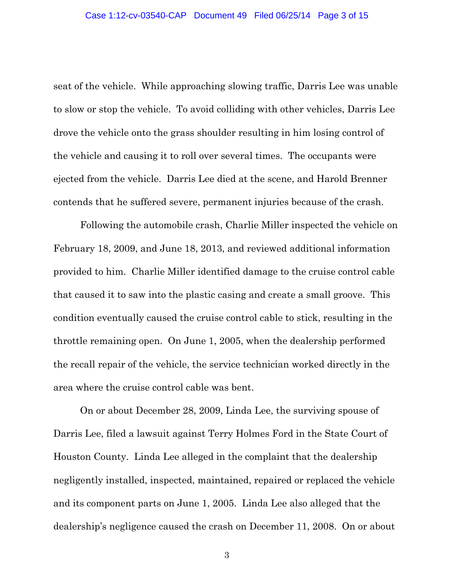seat of the vehicle. While approaching slowing traffic, Darris Lee was unable to slow or stop the vehicle. To avoid colliding with other vehicles, Darris Lee drove the vehicle onto the grass shoulder resulting in him losing control of the vehicle and causing it to roll over several times. The occupants were ejected from the vehicle. Darris Lee died at the scene, and Harold Brenner contends that he suffered severe, permanent injuries because of the crash.

 Following the automobile crash, Charlie Miller inspected the vehicle on February 18, 2009, and June 18, 2013, and reviewed additional information provided to him. Charlie Miller identified damage to the cruise control cable that caused it to saw into the plastic casing and create a small groove. This condition eventually caused the cruise control cable to stick, resulting in the throttle remaining open. On June 1, 2005, when the dealership performed the recall repair of the vehicle, the service technician worked directly in the area where the cruise control cable was bent.

 On or about December 28, 2009, Linda Lee, the surviving spouse of Darris Lee, filed a lawsuit against Terry Holmes Ford in the State Court of Houston County. Linda Lee alleged in the complaint that the dealership negligently installed, inspected, maintained, repaired or replaced the vehicle and its component parts on June 1, 2005. Linda Lee also alleged that the dealership's negligence caused the crash on December 11, 2008. On or about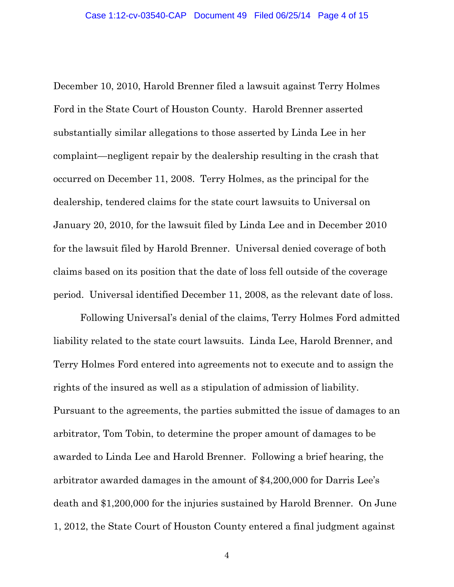December 10, 2010, Harold Brenner filed a lawsuit against Terry Holmes Ford in the State Court of Houston County. Harold Brenner asserted substantially similar allegations to those asserted by Linda Lee in her complaint—negligent repair by the dealership resulting in the crash that occurred on December 11, 2008. Terry Holmes, as the principal for the dealership, tendered claims for the state court lawsuits to Universal on January 20, 2010, for the lawsuit filed by Linda Lee and in December 2010 for the lawsuit filed by Harold Brenner. Universal denied coverage of both claims based on its position that the date of loss fell outside of the coverage period. Universal identified December 11, 2008, as the relevant date of loss.

 Following Universal's denial of the claims, Terry Holmes Ford admitted liability related to the state court lawsuits. Linda Lee, Harold Brenner, and Terry Holmes Ford entered into agreements not to execute and to assign the rights of the insured as well as a stipulation of admission of liability. Pursuant to the agreements, the parties submitted the issue of damages to an arbitrator, Tom Tobin, to determine the proper amount of damages to be awarded to Linda Lee and Harold Brenner. Following a brief hearing, the arbitrator awarded damages in the amount of \$4,200,000 for Darris Lee's death and \$1,200,000 for the injuries sustained by Harold Brenner. On June 1, 2012, the State Court of Houston County entered a final judgment against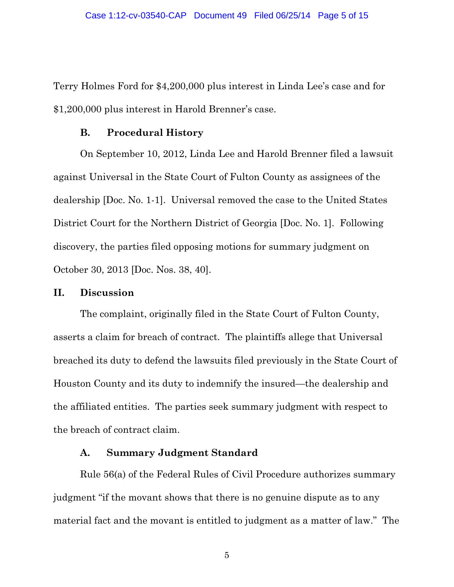Terry Holmes Ford for \$4,200,000 plus interest in Linda Lee's case and for \$1,200,000 plus interest in Harold Brenner's case.

#### **B. Procedural History**

 On September 10, 2012, Linda Lee and Harold Brenner filed a lawsuit against Universal in the State Court of Fulton County as assignees of the dealership [Doc. No. 1-1]. Universal removed the case to the United States District Court for the Northern District of Georgia [Doc. No. 1]. Following discovery, the parties filed opposing motions for summary judgment on October 30, 2013 [Doc. Nos. 38, 40].

#### **II. Discussion**

 The complaint, originally filed in the State Court of Fulton County, asserts a claim for breach of contract. The plaintiffs allege that Universal breached its duty to defend the lawsuits filed previously in the State Court of Houston County and its duty to indemnify the insured—the dealership and the affiliated entities. The parties seek summary judgment with respect to the breach of contract claim.

### **A. Summary Judgment Standard**

Rule 56(a) of the Federal Rules of Civil Procedure authorizes summary judgment "if the movant shows that there is no genuine dispute as to any material fact and the movant is entitled to judgment as a matter of law." The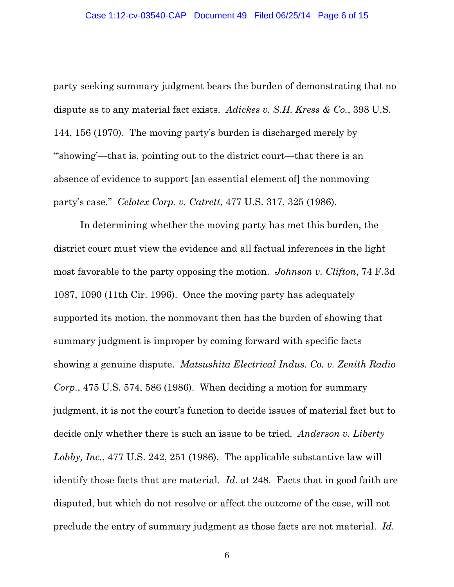party seeking summary judgment bears the burden of demonstrating that no dispute as to any material fact exists. *Adickes v. S.H. Kress & Co.*, 398 U.S. 144, 156 (1970). The moving party's burden is discharged merely by "'showing'—that is, pointing out to the district court—that there is an absence of evidence to support [an essential element of] the nonmoving party's case." *Celotex Corp. v. Catrett*, 477 U.S. 317, 325 (1986).

 In determining whether the moving party has met this burden, the district court must view the evidence and all factual inferences in the light most favorable to the party opposing the motion. *Johnson v. Clifton*, 74 F.3d 1087, 1090 (11th Cir. 1996). Once the moving party has adequately supported its motion, the nonmovant then has the burden of showing that summary judgment is improper by coming forward with specific facts showing a genuine dispute. *Matsushita Electrical Indus. Co. v. Zenith Radio Corp.*, 475 U.S. 574, 586 (1986). When deciding a motion for summary judgment, it is not the court's function to decide issues of material fact but to decide only whether there is such an issue to be tried. *Anderson v. Liberty Lobby, Inc.*, 477 U.S. 242, 251 (1986). The applicable substantive law will identify those facts that are material. *Id.* at 248. Facts that in good faith are disputed, but which do not resolve or affect the outcome of the case, will not preclude the entry of summary judgment as those facts are not material. *Id.*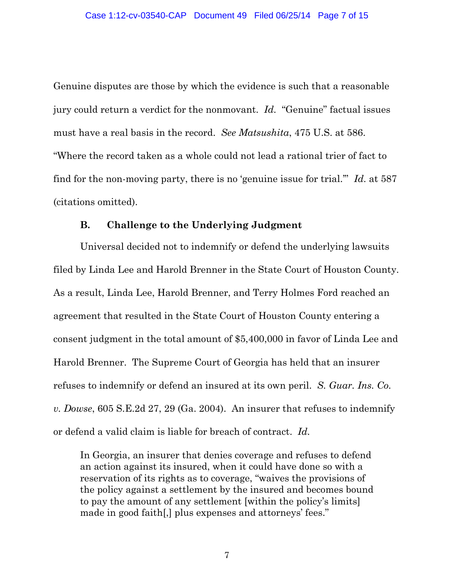Genuine disputes are those by which the evidence is such that a reasonable jury could return a verdict for the nonmovant. *Id.* "Genuine" factual issues must have a real basis in the record. *See Matsushita*, 475 U.S. at 586. "Where the record taken as a whole could not lead a rational trier of fact to find for the non-moving party, there is no 'genuine issue for trial.'" *Id.* at 587 (citations omitted).

## **B. Challenge to the Underlying Judgment**

 Universal decided not to indemnify or defend the underlying lawsuits filed by Linda Lee and Harold Brenner in the State Court of Houston County. As a result, Linda Lee, Harold Brenner, and Terry Holmes Ford reached an agreement that resulted in the State Court of Houston County entering a consent judgment in the total amount of \$5,400,000 in favor of Linda Lee and Harold Brenner. The Supreme Court of Georgia has held that an insurer refuses to indemnify or defend an insured at its own peril. *S. Guar. Ins. Co. v. Dowse*, 605 S.E.2d 27, 29 (Ga. 2004). An insurer that refuses to indemnify or defend a valid claim is liable for breach of contract. *Id.*

In Georgia, an insurer that denies coverage and refuses to defend an action against its insured, when it could have done so with a reservation of its rights as to coverage, "waives the provisions of the policy against a settlement by the insured and becomes bound to pay the amount of any settlement [within the policy's limits] made in good faith[,] plus expenses and attorneys' fees."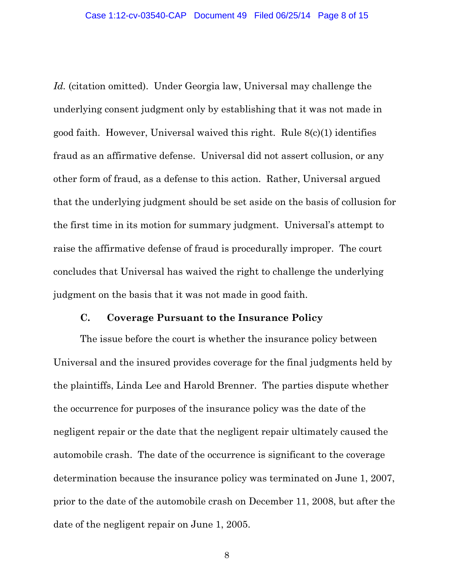*Id.* (citation omitted). Under Georgia law, Universal may challenge the underlying consent judgment only by establishing that it was not made in good faith. However, Universal waived this right. Rule 8(c)(1) identifies fraud as an affirmative defense. Universal did not assert collusion, or any other form of fraud, as a defense to this action. Rather, Universal argued that the underlying judgment should be set aside on the basis of collusion for the first time in its motion for summary judgment. Universal's attempt to raise the affirmative defense of fraud is procedurally improper. The court concludes that Universal has waived the right to challenge the underlying judgment on the basis that it was not made in good faith.

#### **C. Coverage Pursuant to the Insurance Policy**

 The issue before the court is whether the insurance policy between Universal and the insured provides coverage for the final judgments held by the plaintiffs, Linda Lee and Harold Brenner. The parties dispute whether the occurrence for purposes of the insurance policy was the date of the negligent repair or the date that the negligent repair ultimately caused the automobile crash. The date of the occurrence is significant to the coverage determination because the insurance policy was terminated on June 1, 2007, prior to the date of the automobile crash on December 11, 2008, but after the date of the negligent repair on June 1, 2005.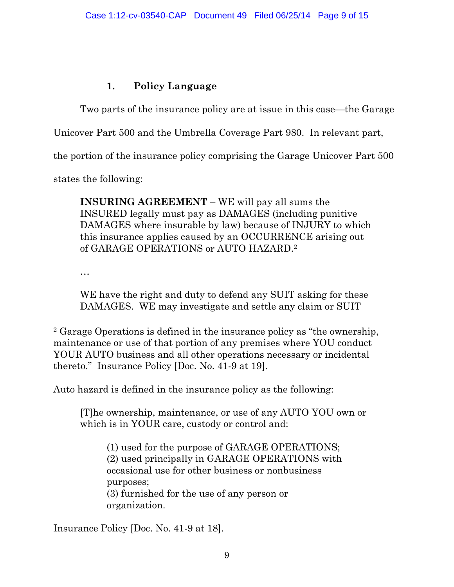# **1. Policy Language**

Two parts of the insurance policy are at issue in this case—the Garage

Unicover Part 500 and the Umbrella Coverage Part 980. In relevant part,

the portion of the insurance policy comprising the Garage Unicover Part 500

states the following:

**INSURING AGREEMENT** – WE will pay all sums the INSURED legally must pay as DAMAGES (including punitive DAMAGES where insurable by law) because of INJURY to which this insurance applies caused by an OCCURRENCE arising out of GARAGE OPERATIONS or AUTO HAZARD.2

…

 $\overline{a}$ 

WE have the right and duty to defend any SUIT asking for these DAMAGES. WE may investigate and settle any claim or SUIT

Auto hazard is defined in the insurance policy as the following:

[T]he ownership, maintenance, or use of any AUTO YOU own or which is in YOUR care, custody or control and:

(1) used for the purpose of GARAGE OPERATIONS; (2) used principally in GARAGE OPERATIONS with occasional use for other business or nonbusiness purposes; (3) furnished for the use of any person or organization.

Insurance Policy [Doc. No. 41-9 at 18].

<sup>2</sup> Garage Operations is defined in the insurance policy as "the ownership, maintenance or use of that portion of any premises where YOU conduct YOUR AUTO business and all other operations necessary or incidental thereto." Insurance Policy [Doc. No. 41-9 at 19].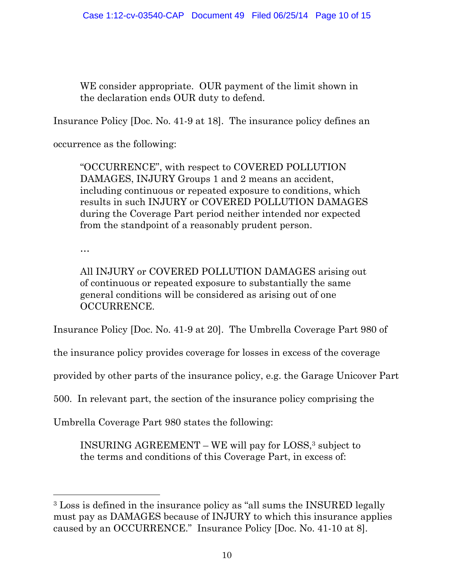WE consider appropriate. OUR payment of the limit shown in the declaration ends OUR duty to defend.

Insurance Policy [Doc. No. 41-9 at 18]. The insurance policy defines an

occurrence as the following:

"OCCURRENCE", with respect to COVERED POLLUTION DAMAGES, INJURY Groups 1 and 2 means an accident, including continuous or repeated exposure to conditions, which results in such INJURY or COVERED POLLUTION DAMAGES during the Coverage Part period neither intended nor expected from the standpoint of a reasonably prudent person.

…

 $\overline{a}$ 

All INJURY or COVERED POLLUTION DAMAGES arising out of continuous or repeated exposure to substantially the same general conditions will be considered as arising out of one OCCURRENCE.

Insurance Policy [Doc. No. 41-9 at 20]. The Umbrella Coverage Part 980 of

the insurance policy provides coverage for losses in excess of the coverage

provided by other parts of the insurance policy, e.g. the Garage Unicover Part

500. In relevant part, the section of the insurance policy comprising the

Umbrella Coverage Part 980 states the following:

INSURING AGREEMENT – WE will pay for LOSS,3 subject to the terms and conditions of this Coverage Part, in excess of:

<sup>3</sup> Loss is defined in the insurance policy as "all sums the INSURED legally must pay as DAMAGES because of INJURY to which this insurance applies caused by an OCCURRENCE." Insurance Policy [Doc. No. 41-10 at 8].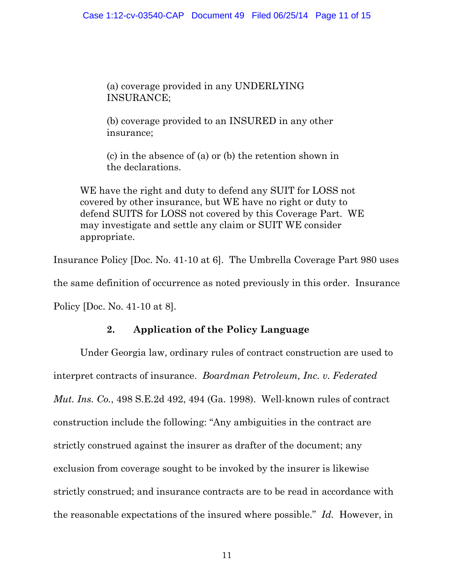(a) coverage provided in any UNDERLYING INSURANCE;

(b) coverage provided to an INSURED in any other insurance;

(c) in the absence of (a) or (b) the retention shown in the declarations.

WE have the right and duty to defend any SUIT for LOSS not covered by other insurance, but WE have no right or duty to defend SUITS for LOSS not covered by this Coverage Part. WE may investigate and settle any claim or SUIT WE consider appropriate.

Insurance Policy [Doc. No. 41-10 at 6]. The Umbrella Coverage Part 980 uses the same definition of occurrence as noted previously in this order. Insurance Policy [Doc. No. 41-10 at 8].

## **2. Application of the Policy Language**

 Under Georgia law, ordinary rules of contract construction are used to interpret contracts of insurance. *Boardman Petroleum, Inc. v. Federated Mut. Ins. Co.*, 498 S.E.2d 492, 494 (Ga. 1998). Well-known rules of contract construction include the following: "Any ambiguities in the contract are strictly construed against the insurer as drafter of the document; any exclusion from coverage sought to be invoked by the insurer is likewise strictly construed; and insurance contracts are to be read in accordance with the reasonable expectations of the insured where possible." *Id.* However, in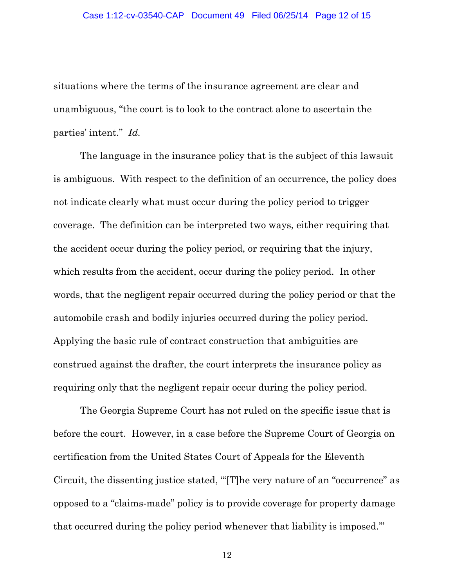situations where the terms of the insurance agreement are clear and unambiguous, "the court is to look to the contract alone to ascertain the parties' intent." *Id.*

 The language in the insurance policy that is the subject of this lawsuit is ambiguous. With respect to the definition of an occurrence, the policy does not indicate clearly what must occur during the policy period to trigger coverage. The definition can be interpreted two ways, either requiring that the accident occur during the policy period, or requiring that the injury, which results from the accident, occur during the policy period. In other words, that the negligent repair occurred during the policy period or that the automobile crash and bodily injuries occurred during the policy period. Applying the basic rule of contract construction that ambiguities are construed against the drafter, the court interprets the insurance policy as requiring only that the negligent repair occur during the policy period.

 The Georgia Supreme Court has not ruled on the specific issue that is before the court. However, in a case before the Supreme Court of Georgia on certification from the United States Court of Appeals for the Eleventh Circuit, the dissenting justice stated, "'[T]he very nature of an "occurrence" as opposed to a "claims-made" policy is to provide coverage for property damage that occurred during the policy period whenever that liability is imposed.'"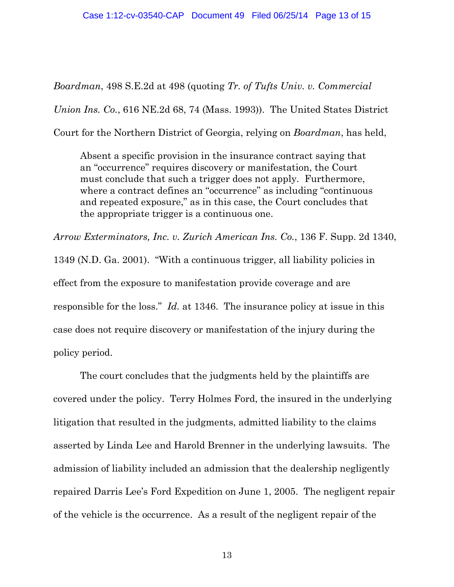*Boardman*, 498 S.E.2d at 498 (quoting *Tr. of Tufts Univ. v. Commercial Union Ins. Co.*, 616 NE.2d 68, 74 (Mass. 1993)). The United States District Court for the Northern District of Georgia, relying on *Boardman*, has held,

Absent a specific provision in the insurance contract saying that an "occurrence" requires discovery or manifestation, the Court must conclude that such a trigger does not apply. Furthermore, where a contract defines an "occurrence" as including "continuous" and repeated exposure," as in this case, the Court concludes that the appropriate trigger is a continuous one.

*Arrow Exterminators, Inc. v. Zurich American Ins. Co.*, 136 F. Supp. 2d 1340, 1349 (N.D. Ga. 2001). "With a continuous trigger, all liability policies in effect from the exposure to manifestation provide coverage and are responsible for the loss." *Id.* at 1346. The insurance policy at issue in this case does not require discovery or manifestation of the injury during the policy period.

 The court concludes that the judgments held by the plaintiffs are covered under the policy. Terry Holmes Ford, the insured in the underlying litigation that resulted in the judgments, admitted liability to the claims asserted by Linda Lee and Harold Brenner in the underlying lawsuits. The admission of liability included an admission that the dealership negligently repaired Darris Lee's Ford Expedition on June 1, 2005. The negligent repair of the vehicle is the occurrence. As a result of the negligent repair of the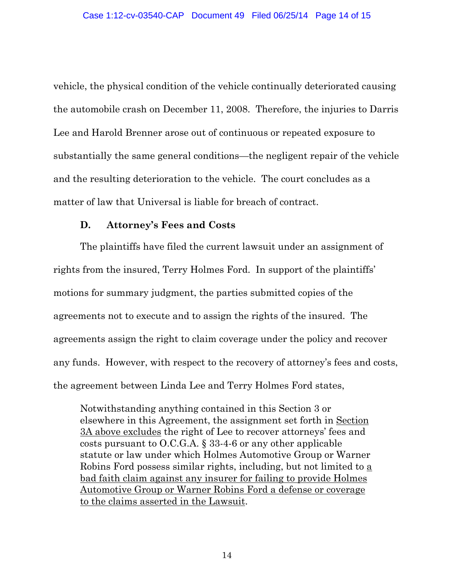vehicle, the physical condition of the vehicle continually deteriorated causing the automobile crash on December 11, 2008. Therefore, the injuries to Darris Lee and Harold Brenner arose out of continuous or repeated exposure to substantially the same general conditions—the negligent repair of the vehicle and the resulting deterioration to the vehicle. The court concludes as a matter of law that Universal is liable for breach of contract.

### **D. Attorney's Fees and Costs**

 The plaintiffs have filed the current lawsuit under an assignment of rights from the insured, Terry Holmes Ford. In support of the plaintiffs' motions for summary judgment, the parties submitted copies of the agreements not to execute and to assign the rights of the insured. The agreements assign the right to claim coverage under the policy and recover any funds. However, with respect to the recovery of attorney's fees and costs, the agreement between Linda Lee and Terry Holmes Ford states,

Notwithstanding anything contained in this Section 3 or elsewhere in this Agreement, the assignment set forth in Section 3A above excludes the right of Lee to recover attorneys' fees and costs pursuant to O.C.G.A. § 33-4-6 or any other applicable statute or law under which Holmes Automotive Group or Warner Robins Ford possess similar rights, including, but not limited to a bad faith claim against any insurer for failing to provide Holmes Automotive Group or Warner Robins Ford a defense or coverage to the claims asserted in the Lawsuit.